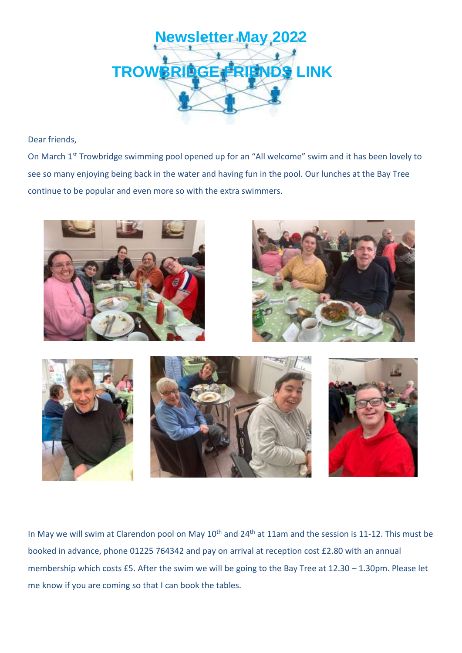

Dear friends,

On March 1st Trowbridge swimming pool opened up for an "All welcome" swim and it has been lovely to see so many enjoying being back in the water and having fun in the pool. Our lunches at the Bay Tree continue to be popular and even more so with the extra swimmers.







In May we will swim at Clarendon pool on May 10<sup>th</sup> and 24<sup>th</sup> at 11am and the session is 11-12. This must be booked in advance, phone 01225 764342 and pay on arrival at reception cost £2.80 with an annual membership which costs £5. After the swim we will be going to the Bay Tree at 12.30 – 1.30pm. Please let me know if you are coming so that I can book the tables.